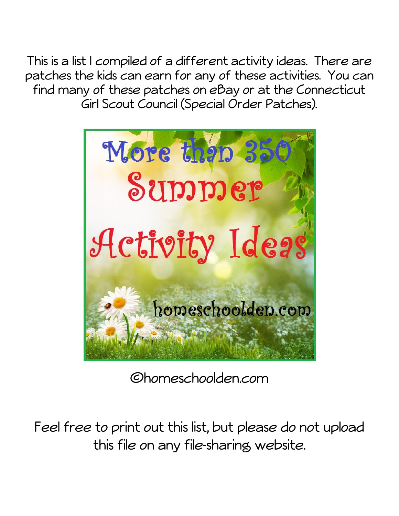This is a list I compiled of a different activity ideas. There are patches the kids can earn for any of these activities. You can find many of these patches on eBay or at the Connecticut Girl Scout Council (Special Order Patches).



Chomeschoolden.com

Feel free to print out this list, but please do not upload this file on any file-sharing website.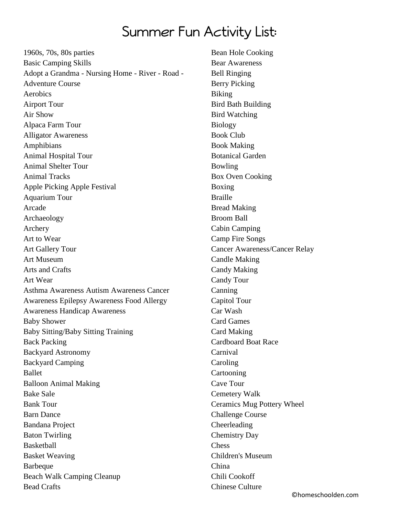## Summer Fun Activity List:

1960s, 70s, 80s parties Basic Camping Skills Adopt a Grandma - Nursing Home - River - Road - Adventure Course Aerobics Airport Tour Air Show Alpaca Farm Tour Alligator Awareness Amphibians Animal Hospital Tour Animal Shelter Tour Animal Tracks Apple Picking Apple Festival Aquarium Tour Arcade Archaeology Archery Art to Wear Art Gallery Tour Art Museum Arts and Crafts Art Wear Asthma Awareness Autism Awareness Cancer Awareness Epilepsy Awareness Food Allergy Awareness Handicap Awareness Baby Shower Baby Sitting/Baby Sitting Training Back Packing Backyard Astronomy Backyard Camping Ballet Balloon Animal Making Bake Sale Bank Tour Barn Dance Bandana Project Baton Twirling **Basketball** Basket Weaving Barbeque Beach Walk Camping Cleanup Bead Crafts

Bean Hole Cooking Bear Awareness Bell Ringing Berry Picking Biking Bird Bath Building Bird Watching Biology Book Club Book Making Botanical Garden Bowling Box Oven Cooking Boxing Braille Bread Making Broom Ball Cabin Camping Camp Fire Songs Cancer Awareness/Cancer Relay Candle Making Candy Making Candy Tour Canning Capitol Tour Car Wash Card Games Card Making Cardboard Boat Race Carnival Caroling Cartooning Cave Tour Cemetery Walk Ceramics Mug Pottery Wheel Challenge Course Cheerleading Chemistry Day Chess Children's Museum China Chili Cookoff Chinese Culture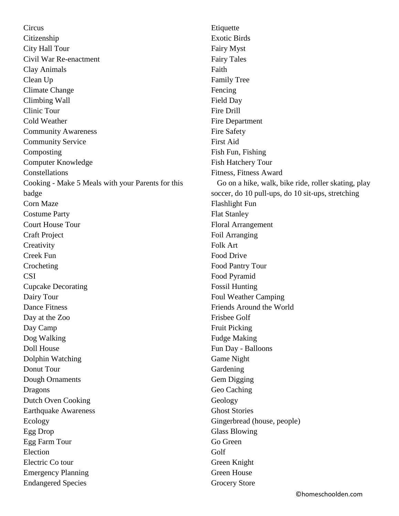**Circus** Citizenship City Hall Tour Civil War Re-enactment Clay Animals Clean Up Climate Change Climbing Wall Clinic Tour Cold Weather Community Awareness Community Service Composting Computer Knowledge Constellations Cooking - Make 5 Meals with your Parents for this badge Corn Maze Costume Party Court House Tour Craft Project **Creativity** Creek Fun Crocheting **CSI** Cupcake Decorating Dairy Tour Dance Fitness Day at the Zoo Day Camp Dog Walking Doll House Dolphin Watching Donut Tour Dough Ornaments Dragons Dutch Oven Cooking Earthquake Awareness Ecology Egg Drop Egg Farm Tour Election Electric Co tour Emergency Planning Endangered Species

Etiquette Exotic Birds Fairy Myst Fairy Tales Faith Family Tree Fencing Field Day Fire Drill Fire Department Fire Safety First Aid Fish Fun, Fishing Fish Hatchery Tour Fitness, Fitness Award Go on a hike, walk, bike ride, roller skating, play soccer, do 10 pull-ups, do 10 sit-ups, stretching Flashlight Fun Flat Stanley Floral Arrangement Foil Arranging Folk Art Food Drive Food Pantry Tour Food Pyramid Fossil Hunting Foul Weather Camping Friends Around the World Frisbee Golf Fruit Picking Fudge Making Fun Day - Balloons Game Night Gardening Gem Digging Geo Caching Geology Ghost Stories Gingerbread (house, people) Glass Blowing Go Green Golf Green Knight Green House Grocery Store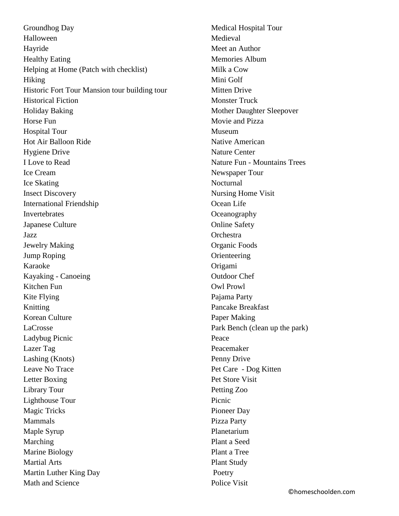Groundhog Day Halloween Hayride Healthy Eating Helping at Home (Patch with checklist) Hiking Historic Fort Tour Mansion tour building tour Historical Fiction Holiday Baking Horse Fun Hospital Tour Hot Air Balloon Ride Hygiene Drive I Love to Read Ice Cream Ice Skating Insect Discovery International Friendship Invertebrates Japanese Culture Jazz Jewelry Making Jump Roping Karaoke Kayaking - Canoeing Kitchen Fun Kite Flying Knitting Korean Culture LaCrosse Ladybug Picnic Lazer Tag Lashing (Knots) Leave No Trace Letter Boxing Library Tour Lighthouse Tour Magic Tricks Mammals Maple Syrup Marching Marine Biology Martial Arts Martin Luther King Day Math and Science

Medical Hospital Tour Medieval Meet an Author Memories Album Milk a Cow Mini Golf Mitten Drive Monster Truck Mother Daughter Sleepover Movie and Pizza Museum Native American Nature Center Nature Fun - Mountains Trees Newspaper Tour Nocturnal Nursing Home Visit Ocean Life **Oceanography** Online Safety Orchestra Organic Foods **Orienteering** Origami Outdoor Chef Owl Prowl Pajama Party Pancake Breakfast Paper Making Park Bench (clean up the park) Peace Peacemaker Penny Drive Pet Care - Dog Kitten Pet Store Visit Petting Zoo Picnic Pioneer Day Pizza Party Planetarium Plant a Seed Plant a Tree Plant Study Poetry Police Visit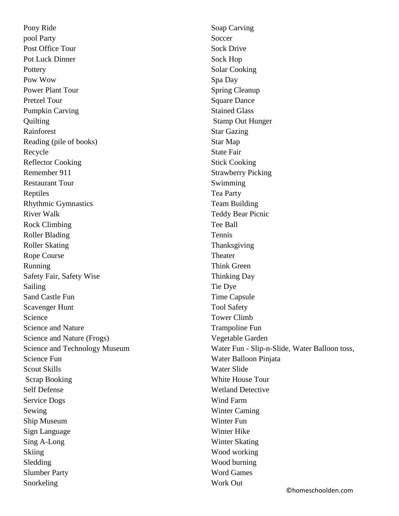Pony Ride pool Party Post Office Tour Pot Luck Dinner **Pottery** Pow Wow Power Plant Tour Pretzel Tour Pumpkin Carving **Quilting** Rainforest Reading (pile of books) Recycle Reflector Cooking Remember 911 Restaurant Tour Reptiles Rhythmic Gymnastics River Walk Rock Climbing Roller Blading Roller Skating Rope Course Running Safety Fair, Safety Wise Sailing Sand Castle Fun Scavenger Hunt Science Science and Nature Science and Nature (Frogs) Science and Technology Museum Science Fun Scout Skills Scrap Booking Self Defense Service Dogs Sewing Ship Museum Sign Language Sing A-Long Skiing Sledding Slumber Party Snorkeling

Soap Carving Soccer Sock Drive Sock Hop Solar Cooking Spa Day Spring Cleanup Square Dance Stained Glass Stamp Out Hunger Star Gazing Star Map State Fair Stick Cooking Strawberry Picking Swimming Tea Party Team Building Teddy Bear Picnic Tee Ball Tennis Thanksgiving **Theater** Think Green Thinking Day Tie Dye Time Capsule Tool Safety Tower Climb Trampoline Fun Vegetable Garden Water Fun - Slip-n-Slide, Water Balloon toss, Water Balloon Pinjata Water Slide White House Tour Wetland Detective Wind Farm Winter Caming Winter Fun Winter Hike Winter Skating Wood working Wood burning Word Games Work Out